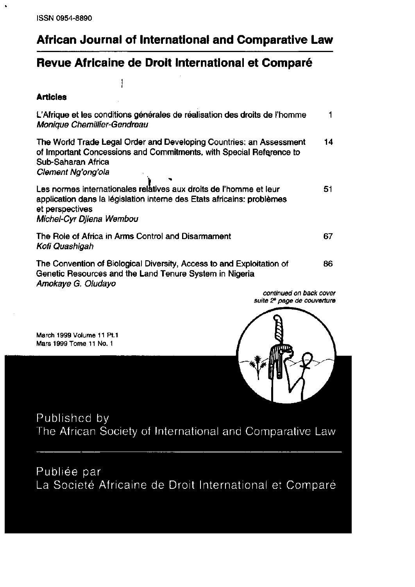$\ddot{\phantom{0}}$ 

# African Journal of International and Comparative Law

### Revue Africaine de Droit International et Comparé

ļ

#### **Articles**

| L'Afrique et les conditions générales de réalisation des droits de l'homme<br>Monique Chemillier-Gendreau                                                                                   |    |
|---------------------------------------------------------------------------------------------------------------------------------------------------------------------------------------------|----|
| The World Trade Legal Order and Developing Countries: an Assessment<br>of Important Concessions and Commitments, with Special Reference to<br>Sub-Saharan Africa<br>Clement Ng'ong'ola      | 14 |
| Les normes internationales relatives aux droits de l'homme et leur<br>application dans la législation interne des Etats africains: problèmes<br>et perspectives<br>Michel-Cyr Djiena Wembou | 51 |
| The Role of Africa in Arms Control and Disarmament<br>Kofi Quashigah                                                                                                                        | 67 |
| The Convention of Biological Diversity, Access to and Exploitation of<br>Genetic Resources and the Land Tenure System in Nigeria<br>Amokaye G. Oludayo                                      | 86 |
| continued on back cover                                                                                                                                                                     |    |

March 1999 Volume 11 Pt.1 Mars 1999 Tome 11 No. 1



Published by The African Society of International and Comparative Law

Publiée par La Societé Africaine de Droit International et Comparé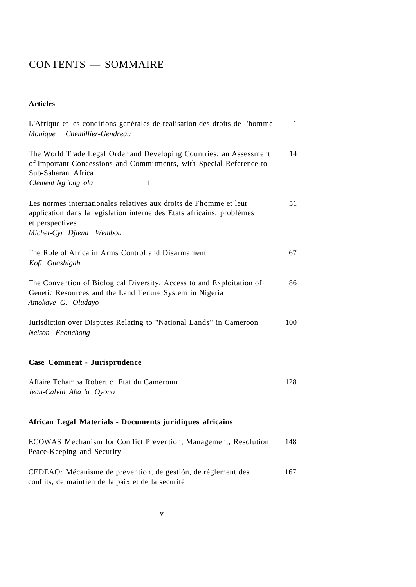## CONTENTS - SOMMAIRE

### **Articles**

| L'Afrique et les conditions genérales de realisation des droits de l'homme<br>Chemillier-Gendreau<br>Monique                                                                                  | $\mathbf{1}$ |
|-----------------------------------------------------------------------------------------------------------------------------------------------------------------------------------------------|--------------|
| The World Trade Legal Order and Developing Countries: an Assessment<br>of Important Concessions and Commitments, with Special Reference to<br>Sub-Saharan Africa<br>f<br>Clement Ng 'ong 'ola | 14           |
| Les normes internationales relatives aux droits de Fhomme et leur<br>application dans la legislation interne des Etats africains: problémes<br>et perspectives<br>Michel-Cyr Djiena Wembou    | 51           |
| The Role of Africa in Arms Control and Disarmament<br>Kofi Quashigah                                                                                                                          | 67           |
| The Convention of Biological Diversity, Access to and Exploitation of<br>Genetic Resources and the Land Tenure System in Nigeria<br>Amokaye G. Oludayo                                        | 86           |
| Jurisdiction over Disputes Relating to "National Lands" in Cameroon<br>Nelson Enonchong                                                                                                       | 100          |
| Case Comment - Jurisprudence                                                                                                                                                                  |              |
| Affaire Tchamba Robert c. Etat du Cameroun<br>Jean-Calvin Aba 'a Oyono                                                                                                                        | 128          |
| African Legal Materials - Documents juridiques africains                                                                                                                                      |              |
| ECOWAS Mechanism for Conflict Prevention, Management, Resolution<br>Peace-Keeping and Security                                                                                                | 148          |
| CEDEAO: Mécanisme de prevention, de gestión, de réglement des                                                                                                                                 | 167          |

conflits, de maintien de la paix et de la securité